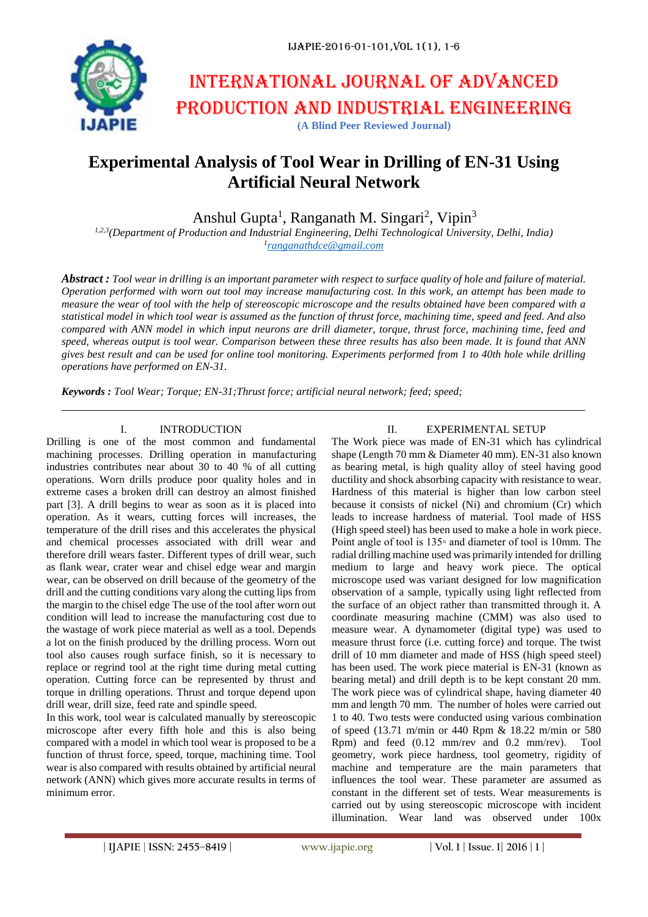

# International journal of advanced production and industrial engineering **(A Blind Peer Reviewed Journal)**

## **Experimental Analysis of Tool Wear in Drilling of EN-31 Using Artificial Neural Network**

Anshul Gupta<sup>1</sup>, Ranganath M. Singari<sup>2</sup>, Vipin<sup>3</sup>

*1,2,3(Department of Production and Industrial Engineering, Delhi Technological University, Delhi, India) 1 [ranganathdce@gmail.com](mailto:ranganathdce@gmail.com)*

*Abstract : Tool wear in drilling is an important parameter with respect to surface quality of hole and failure of material. Operation performed with worn out tool may increase manufacturing cost. In this work, an attempt has been made to measure the wear of tool with the help of stereoscopic microscope and the results obtained have been compared with a statistical model in which tool wear is assumed as the function of thrust force, machining time, speed and feed. And also compared with ANN model in which input neurons are drill diameter, torque, thrust force, machining time, feed and speed, whereas output is tool wear. Comparison between these three results has also been made. It is found that ANN gives best result and can be used for online tool monitoring. Experiments performed from 1 to 40th hole while drilling operations have performed on EN-31.*

*Keywords : Tool Wear; Torque; EN-31;Thrust force; artificial neural network; feed; speed;* 

## I. INTRODUCTION

Drilling is one of the most common and fundamental machining processes. Drilling operation in manufacturing industries contributes near about 30 to 40 % of all cutting operations. Worn drills produce poor quality holes and in extreme cases a broken drill can destroy an almost finished part [3]. A drill begins to wear as soon as it is placed into operation. As it wears, cutting forces will increases, the temperature of the drill rises and this accelerates the physical and chemical processes associated with drill wear and therefore drill wears faster. Different types of drill wear, such as flank wear, crater wear and chisel edge wear and margin wear, can be observed on drill because of the geometry of the drill and the cutting conditions vary along the cutting lips from the margin to the chisel edge The use of the tool after worn out condition will lead to increase the manufacturing cost due to the wastage of work piece material as well as a tool. Depends a lot on the finish produced by the drilling process. Worn out tool also causes rough surface finish, so it is necessary to replace or regrind tool at the right time during metal cutting operation. Cutting force can be represented by thrust and torque in drilling operations. Thrust and torque depend upon drill wear, drill size, feed rate and spindle speed.

In this work, tool wear is calculated manually by stereoscopic microscope after every fifth hole and this is also being compared with a model in which tool wear is proposed to be a function of thrust force, speed, torque, machining time. Tool wear is also compared with results obtained by artificial neural network (ANN) which gives more accurate results in terms of minimum error.

### II. EXPERIMENTAL SETUP

The Work piece was made of EN-31 which has cylindrical shape (Length 70 mm & Diameter 40 mm). EN-31 also known as bearing metal, is high quality alloy of steel having good ductility and shock absorbing capacity with resistance to wear. Hardness of this material is higher than low carbon steel because it consists of nickel (Ni) and chromium (Cr) which leads to increase hardness of material. Tool made of HSS (High speed steel) has been used to make a hole in work piece. Point angle of tool is 135◦ and diameter of tool is 10mm. The radial drilling machine used was primarily intended for drilling medium to large and heavy work piece. The optical microscope used was variant designed for low magnification observation of a sample, typically using light reflected from the surface of an object rather than transmitted through it. A coordinate measuring machine (CMM) was also used to measure wear. A dynamometer (digital type) was used to measure thrust force (i.e. cutting force) and torque. The twist drill of 10 mm diameter and made of HSS (high speed steel) has been used. The work piece material is EN-31 (known as bearing metal) and drill depth is to be kept constant 20 mm. The work piece was of cylindrical shape, having diameter 40 mm and length 70 mm. The number of holes were carried out 1 to 40. Two tests were conducted using various combination of speed (13.71 m/min or 440 Rpm & 18.22 m/min or 580 Rpm) and feed (0.12 mm/rev and 0.2 mm/rev). Tool geometry, work piece hardness, tool geometry, rigidity of machine and temperature are the main parameters that influences the tool wear. These parameter are assumed as constant in the different set of tests. Wear measurements is carried out by using stereoscopic microscope with incident illumination. Wear land was observed under 100x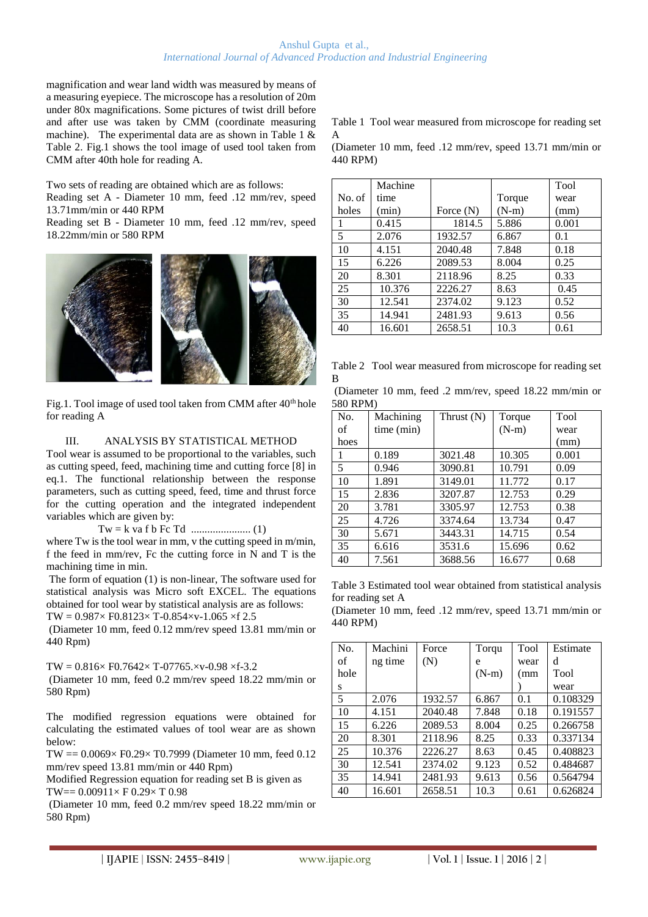#### Anshul Gupta et al., *International Journal of Advanced Production and Industrial Engineering*

magnification and wear land width was measured by means of a measuring eyepiece. The microscope has a resolution of 20m under 80x magnifications. Some pictures of twist drill before and after use was taken by CMM (coordinate measuring machine). The experimental data are as shown in Table 1 & Table 2. Fig.1 shows the tool image of used tool taken from CMM after 40th hole for reading A.

Two sets of reading are obtained which are as follows:

Reading set A - Diameter 10 mm, feed .12 mm/rev, speed 13.71mm/min or 440 RPM

Reading set B - Diameter 10 mm, feed .12 mm/rev, speed 18.22mm/min or 580 RPM



Fig.1. Tool image of used tool taken from CMM after  $40<sup>th</sup>$  hole for reading A

#### III. ANALYSIS BY STATISTICAL METHOD

Tool wear is assumed to be proportional to the variables, such as cutting speed, feed, machining time and cutting force [8] in eq.1. The functional relationship between the response parameters, such as cutting speed, feed, time and thrust force for the cutting operation and the integrated independent variables which are given by:

Tw = k va f b Fc Td ...................... (1)

where Tw is the tool wear in mm, v the cutting speed in m/min, f the feed in mm/rev, Fc the cutting force in N and T is the machining time in min.

The form of equation (1) is non-linear, The software used for statistical analysis was Micro soft EXCEL. The equations obtained for tool wear by statistical analysis are as follows:

 $TW = 0.987 \times F0.8123 \times T - 0.854 \times V - 1.065 \times f$  2.5

(Diameter 10 mm, feed 0.12 mm/rev speed 13.81 mm/min or 440 Rpm)

 $TW = 0.816 \times F0.7642 \times T-07765 \times V-0.98 \times f-3.2$ (Diameter 10 mm, feed 0.2 mm/rev speed 18.22 mm/min or 580 Rpm)

The modified regression equations were obtained for calculating the estimated values of tool wear are as shown below:

TW == 0.0069× F0.29× T0.7999 (Diameter 10 mm, feed 0.12 mm/rev speed 13.81 mm/min or 440 Rpm)

Modified Regression equation for reading set B is given as TW== 0.00911× F 0.29× T 0.98

(Diameter 10 mm, feed 0.2 mm/rev speed 18.22 mm/min or 580 Rpm)

Table 1 Tool wear measured from microscope for reading set A

(Diameter 10 mm, feed .12 mm/rev, speed 13.71 mm/min or 440 RPM)

|        | Machine |             |         | Tool  |
|--------|---------|-------------|---------|-------|
| No. of | time    |             | Torque  | wear  |
| holes  | (min)   | Force $(N)$ | $(N-m)$ | (mm)  |
| 1      | 0.415   | 1814.5      | 5.886   | 0.001 |
| 5      | 2.076   | 1932.57     | 6.867   | 0.1   |
| 10     | 4.151   | 2040.48     | 7.848   | 0.18  |
| 15     | 6.226   | 2089.53     | 8.004   | 0.25  |
| 20     | 8.301   | 2118.96     | 8.25    | 0.33  |
| 25     | 10.376  | 2226.27     | 8.63    | 0.45  |
| 30     | 12.541  | 2374.02     | 9.123   | 0.52  |
| 35     | 14.941  | 2481.93     | 9.613   | 0.56  |
| 40     | 16.601  | 2658.51     | 10.3    | 0.61  |

Table 2 Tool wear measured from microscope for reading set B

| (Diameter 10 mm, feed .2 mm/rev, speed 18.22 mm/min or |  |  |  |  |
|--------------------------------------------------------|--|--|--|--|
| 580 RPM)                                               |  |  |  |  |

| No.  | Machining  | Thrust $(N)$ | Torque  | Tool  |
|------|------------|--------------|---------|-------|
| οf   | time (min) |              | $(N-m)$ | wear  |
| hoes |            |              |         | (mm)  |
| 1    | 0.189      | 3021.48      | 10.305  | 0.001 |
| 5    | 0.946      | 3090.81      | 10.791  | 0.09  |
| 10   | 1.891      | 3149.01      | 11.772  | 0.17  |
| 15   | 2.836      | 3207.87      | 12.753  | 0.29  |
| 20   | 3.781      | 3305.97      | 12.753  | 0.38  |
| 25   | 4.726      | 3374.64      | 13.734  | 0.47  |
| 30   | 5.671      | 3443.31      | 14.715  | 0.54  |
| 35   | 6.616      | 3531.6       | 15.696  | 0.62  |
| 40   | 7.561      | 3688.56      | 16.677  | 0.68  |

Table 3 Estimated tool wear obtained from statistical analysis for reading set A

(Diameter 10 mm, feed .12 mm/rev, speed 13.71 mm/min or 440 RPM)

| No.  | Machini | Force   | Torqu   | Tool | Estimate |
|------|---------|---------|---------|------|----------|
| of   | ng time | (N)     | e       | wear | d        |
| hole |         |         | $(N-m)$ | (mm) | Tool     |
| s    |         |         |         |      | wear     |
| 5    | 2.076   | 1932.57 | 6.867   | 0.1  | 0.108329 |
| 10   | 4.151   | 2040.48 | 7.848   | 0.18 | 0.191557 |
| 15   | 6.226   | 2089.53 | 8.004   | 0.25 | 0.266758 |
| 20   | 8.301   | 2118.96 | 8.25    | 0.33 | 0.337134 |
| 25   | 10.376  | 2226.27 | 8.63    | 0.45 | 0.408823 |
| 30   | 12.541  | 2374.02 | 9.123   | 0.52 | 0.484687 |
| 35   | 14.941  | 2481.93 | 9.613   | 0.56 | 0.564794 |
| 40   | 16.601  | 2658.51 | 10.3    | 0.61 | 0.626824 |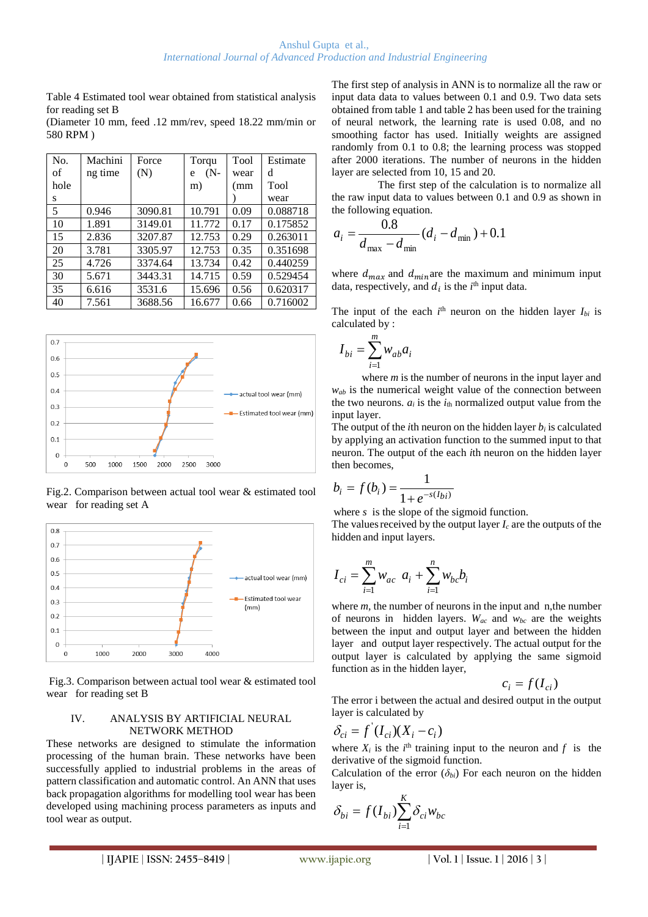Table 4 Estimated tool wear obtained from statistical analysis for reading set B

(Diameter 10 mm, feed .12 mm/rev, speed 18.22 mm/min or 580 RPM )

| No.  | Machini | Force   | Torqu       | Tool | Estimate |
|------|---------|---------|-------------|------|----------|
| of   | ng time | (N)     | $(N -$<br>e | wear | d        |
| hole |         |         | m)          | (mm  | Tool     |
| S    |         |         |             |      | wear     |
| 5    | 0.946   | 3090.81 | 10.791      | 0.09 | 0.088718 |
| 10   | 1.891   | 3149.01 | 11.772      | 0.17 | 0.175852 |
| 15   | 2.836   | 3207.87 | 12.753      | 0.29 | 0.263011 |
| 20   | 3.781   | 3305.97 | 12.753      | 0.35 | 0.351698 |
| 25   | 4.726   | 3374.64 | 13.734      | 0.42 | 0.440259 |
| 30   | 5.671   | 3443.31 | 14.715      | 0.59 | 0.529454 |
| 35   | 6.616   | 3531.6  | 15.696      | 0.56 | 0.620317 |
| 40   | 7.561   | 3688.56 | 16.677      | 0.66 | 0.716002 |



Fig.2. Comparison between actual tool wear & estimated tool wear for reading set A



Fig.3. Comparison between actual tool wear & estimated tool wear for reading set B

#### IV. ANALYSIS BY ARTIFICIAL NEURAL NETWORK METHOD

These networks are designed to stimulate the information processing of the human brain. These networks have been successfully applied to industrial problems in the areas of pattern classification and automatic control. An ANN that uses back propagation algorithms for modelling tool wear has been developed using machining process parameters as inputs and tool wear as output.

The first step of analysis in ANN is to normalize all the raw or input data data to values between 0.1 and 0.9. Two data sets obtained from table 1 and table 2 has been used for the training of neural network, the learning rate is used 0.08, and no smoothing factor has used. Initially weights are assigned randomly from 0.1 to 0.8; the learning process was stopped after 2000 iterations. The number of neurons in the hidden layer are selected from 10, 15 and 20.

 The first step of the calculation is to normalize all the raw input data to values between 0.1 and 0.9 as shown in the following equation.

$$
a_i = \frac{0.8}{d_{\text{max}} - d_{\text{min}}} (d_i - d_{\text{min}}) + 0.1
$$

where  $d_{max}$  and  $d_{min}$  are the maximum and minimum input data, respectively, and  $d_i$  is the  $i^{\text{th}}$  input data.

The input of the each  $i<sup>th</sup>$  neuron on the hidden layer  $I_{bi}$  is calculated by :

$$
I_{bi} = \sum_{i=1}^{m} w_{ab} a_i
$$

*I*

where *m* is the number of neurons in the input layer and *wab* is the numerical weight value of the connection between the two neurons.  $a_i$  is the  $i_{th}$  normalized output value from the input layer.

The output of the *i*th neuron on the hidden layer  $b_i$  is calculated by applying an activation function to the summed input to that neuron. The output of the each *i*th neuron on the hidden layer then becomes,

$$
b_i = f(b_i) = \frac{1}{1 + e^{-s(I_{bi})}}
$$

where *s* is the slope of the sigmoid function.

The values received by the output layer  $I_c$  are the outputs of the hidden and input layers.

$$
I_{ci} = \sum_{i=1}^{m} w_{ac} \ a_i + \sum_{i=1}^{n} w_{bc} b_i
$$

where *m*, the number of neurons in the input and n, the number of neurons in hidden layers.  $W_{ac}$  and  $W_{bc}$  are the weights between the input and output layer and between the hidden layer and output layer respectively. The actual output for the output layer is calculated by applying the same sigmoid function as in the hidden layer,

$$
c_i = f(I_{ci})
$$

The error i between the actual and desired output in the output layer is calculated by

$$
\delta_{ci} = f'(I_{ci})(X_i - c_i)
$$

where  $X_i$  is the  $i^{\text{th}}$  training input to the neuron and  $f$  is the derivative of the sigmoid function.

Calculation of the error  $(\delta_{bi})$  For each neuron on the hidden layer is,

$$
\delta_{bi} = f(I_{bi}) \sum_{i=1}^{K} \delta_{ci} w_{bc}
$$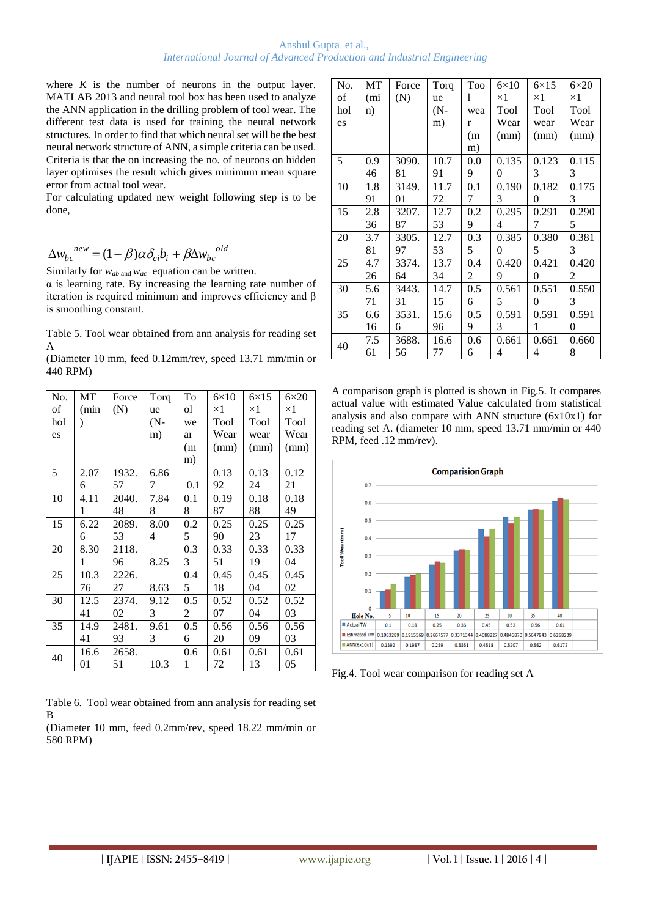where  $K$  is the number of neurons in the output layer. MATLAB 2013 and neural tool box has been used to analyze the ANN application in the drilling problem of tool wear. The different test data is used for training the neural network structures. In order to find that which neural set will be the best neural network structure of ANN, a simple criteria can be used. Criteria is that the on increasing the no. of neurons on hidden layer optimises the result which gives minimum mean square error from actual tool wear.

For calculating updated new weight following step is to be done,

$$
\Delta w_{bc}^{new} = (1-\beta)\alpha \delta_{ci} b_i + \beta \Delta w_{bc}^{old}
$$

Similarly for *wab* and *wac* equation can be written.

 $\alpha$  is learning rate. By increasing the learning rate number of iteration is required minimum and improves efficiency and β is smoothing constant.

Table 5. Tool wear obtained from ann analysis for reading set A

| (Diameter 10 mm, feed 0.12mm/rev, speed 13.71 mm/min or |  |  |  |  |
|---------------------------------------------------------|--|--|--|--|
| 440 RPM)                                                |  |  |  |  |

| No. | MT   | Force | Torq   | To  | $6\times10$ | $6\times15$ | $6\times20$ |
|-----|------|-------|--------|-----|-------------|-------------|-------------|
| of  | (min | (N)   | ue     | ol  | $\times 1$  | $\times 1$  | $\times 1$  |
| hol |      |       | $(N -$ | we  | Tool        | Tool        | Tool        |
| es  |      |       | m)     | ar  | Wear        | wear        | Wear        |
|     |      |       |        | (m) | (mm)        | (mm)        | (mm)        |
|     |      |       |        | m)  |             |             |             |
| 5   | 2.07 | 1932. | 6.86   |     | 0.13        | 0.13        | 0.12        |
|     | 6    | 57    | 7      | 0.1 | 92          | 24          | 21          |
| 10  | 4.11 | 2040. | 7.84   | 0.1 | 0.19        | 0.18        | 0.18        |
|     | 1    | 48    | 8      | 8   | 87          | 88          | 49          |
| 15  | 6.22 | 2089. | 8.00   | 0.2 | 0.25        | 0.25        | 0.25        |
|     | 6    | 53    | 4      | 5   | 90          | 23          | 17          |
| 20  | 8.30 | 2118. |        | 0.3 | 0.33        | 0.33        | 0.33        |
|     | 1    | 96    | 8.25   | 3   | 51          | 19          | 04          |
| 25  | 10.3 | 2226. |        | 0.4 | 0.45        | 0.45        | 0.45        |
|     | 76   | 27    | 8.63   | 5   | 18          | 04          | 02          |
| 30  | 12.5 | 2374. | 9.12   | 0.5 | 0.52        | 0.52        | 0.52        |
|     | 41   | 02    | 3      | 2   | 07          | 04          | 03          |
| 35  | 14.9 | 2481. | 9.61   | 0.5 | 0.56        | 0.56        | 0.56        |
|     | 41   | 93    | 3      | 6   | 20          | 09          | 03          |
| 40  | 16.6 | 2658. |        | 0.6 | 0.61        | 0.61        | 0.61        |
|     | 01   | 51    | 10.3   | 1   | 72          | 13          | 05          |

Table 6. Tool wear obtained from ann analysis for reading set B

(Diameter 10 mm, feed 0.2mm/rev, speed 18.22 mm/min or 580 RPM)

| No. | <b>MT</b> | Force | Torq   | Too           | $6\times10$    | $6\times15$ | $6\times20$ |
|-----|-----------|-------|--------|---------------|----------------|-------------|-------------|
| of  | (mi       | (N)   | ue     | 1             | $\times 1$     | $\times 1$  | $\times 1$  |
| hol | n)        |       | $(N -$ | wea           | Tool           | Tool        | Tool        |
| es  |           |       | m)     | r             | Wear           | wear        | Wear        |
|     |           |       |        | (m)           | (mm)           | (mm)        | (mm)        |
|     |           |       |        | m)            |                |             |             |
| 5   | 0.9       | 3090. | 10.7   | $0.0^{\circ}$ | 0.135          | 0.123       | 0.115       |
|     | 46        | 81    | 91     | 9             | $\overline{0}$ | 3           | 3           |
| 10  | 1.8       | 3149. | 11.7   | 0.1           | 0.190          | 0.182       | 0.175       |
|     | 91        | 01    | 72     | 7             | 3              | 0           | 3           |
| 15  | 2.8       | 3207. | 12.7   | 0.2           | 0.295          | 0.291       | 0.290       |
|     | 36        | 87    | 53     | 9             | 4              | 7           | 5           |
| 20  | 3.7       | 3305. | 12.7   | 0.3           | 0.385          | 0.380       | 0.381       |
|     | 81        | 97    | 53     | 5             | 0              | 5           | 3           |
| 25  | 4.7       | 3374. | 13.7   | 0.4           | 0.420          | 0.421       | 0.420       |
|     | 26        | 64    | 34     | 2             | 9              | 0           | 2           |
| 30  | 5.6       | 3443. | 14.7   | 0.5           | 0.561          | 0.551       | 0.550       |
|     | 71        | 31    | 15     | 6             | 5              | $\theta$    | 3           |
| 35  | 6.6       | 3531. | 15.6   | 0.5           | 0.591          | 0.591       | 0.591       |
|     | 16        | 6     | 96     | 9             | 3              | 1           | 0           |
| 40  | 7.5       | 3688. | 16.6   | 0.6           | 0.661          | 0.661       | 0.660       |
|     | 61        | 56    | 77     | 6             | 4              | 4           | 8           |

A comparison graph is plotted is shown in Fig.5. It compares actual value with estimated Value calculated from statistical analysis and also compare with ANN structure (6x10x1) for reading set A. (diameter 10 mm, speed 13.71 mm/min or 440 RPM, feed .12 mm/rev).



Fig.4. Tool wear comparison for reading set A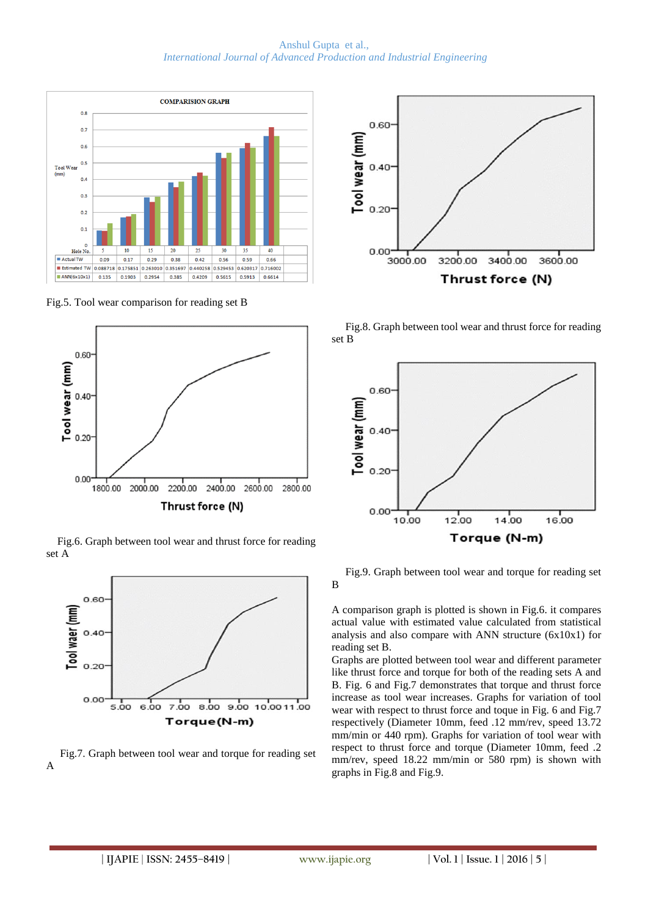Anshul Gupta et al., *International Journal of Advanced Production and Industrial Engineering*



Fig.5. Tool wear comparison for reading set B



 Fig.6. Graph between tool wear and thrust force for reading set A



 Fig.7. Graph between tool wear and torque for reading set A



 Fig.8. Graph between tool wear and thrust force for reading set B



 Fig.9. Graph between tool wear and torque for reading set B

A comparison graph is plotted is shown in Fig.6. it compares actual value with estimated value calculated from statistical analysis and also compare with ANN structure (6x10x1) for reading set B.

Graphs are plotted between tool wear and different parameter like thrust force and torque for both of the reading sets A and B. Fig. 6 and Fig.7 demonstrates that torque and thrust force increase as tool wear increases. Graphs for variation of tool wear with respect to thrust force and toque in Fig. 6 and Fig.7 respectively (Diameter 10mm, feed .12 mm/rev, speed 13.72 mm/min or 440 rpm). Graphs for variation of tool wear with respect to thrust force and torque (Diameter 10mm, feed .2 mm/rev, speed 18.22 mm/min or 580 rpm) is shown with graphs in Fig.8 and Fig.9.